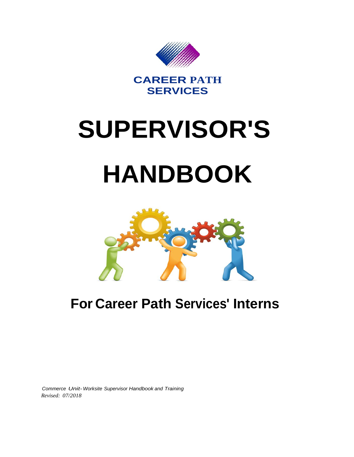

# **SUPERVISOR'S HANDBOOK**



# **For Career Path Services' Interns**

*Commerce Unit-Worksite Supervisor Handbook and Training Revised: 07/2018*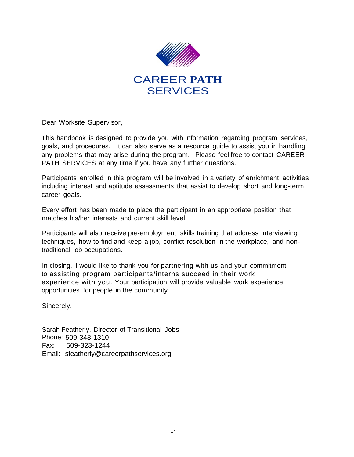

Dear Worksite Supervisor,

This handbook is designed to provide you with information regarding program services, goals, and procedures. It can also serve as a resource guide to assist you in handling any problems that may arise during the program. Please feel free to contact CAREER PATH SERVICES at any time if you have any further questions.

Participants enrolled in this program will be involved in a variety of enrichment activities including interest and aptitude assessments that assist to develop short and long-term career goals.

Every effort has been made to place the participant in an appropriate position that matches his/her interests and current skill level.

Participants will also receive pre-employment skills training that address interviewing techniques, how to find and keep a job, conflict resolution in the workplace, and nontraditional job occupations.

In closing, I would like to thank you for partnering with us and your commitment to assisting program participants/interns succeed in their work experience with you. Your participation will provide valuable work experience opportunities for people in the community.

Sincerely,

Sarah Featherly, Director of Transitional Jobs Phone: 509-343-1310 Fax: 509-323-1244 Email: sfeatherly@careerpathservices.org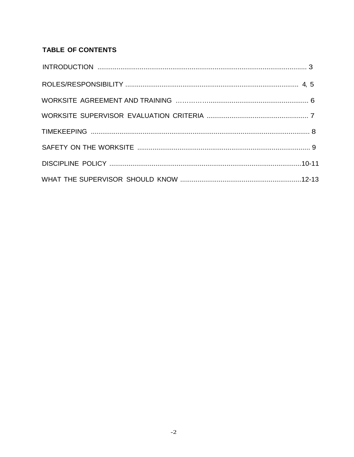### **TABLE OF CONTENTS**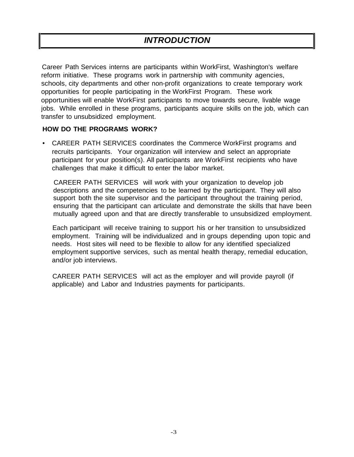# *INTRODUCTION*

Career Path Services interns are participants within WorkFirst, Washington's welfare reform initiative. These programs work in partnership with community agencies, schools, city departments and other non-profit organizations to create temporary work opportunities for people participating in the WorkFirst Program. These work opportunities will enable WorkFirst participants to move towards secure, livable wage jobs. While enrolled in these programs, participants acquire skills on the job, which can transfer to unsubsidized employment.

#### **HOW DO THE PROGRAMS WORK?**

• CAREER PATH SERVICES coordinates the Commerce WorkFirst programs and recruits participants. Your organization will interview and select an appropriate participant for your position(s). All participants are WorkFirst recipients who have challenges that make it difficult to enter the labor market.

CAREER PATH SERVICES will work with your organization to develop job descriptions and the competencies to be learned by the participant. They will also support both the site supervisor and the participant throughout the training period, ensuring that the participant can articulate and demonstrate the skills that have been mutually agreed upon and that are directly transferable to unsubsidized employment.

Each participant will receive training to support his or her transition to unsubsidized employment. Training will be individualized and in groups depending upon topic and needs. Host sites will need to be flexible to allow for any identified specialized employment supportive services, such as mental health therapy, remedial education, and/or job interviews.

CAREER PATH SERVICES will act as the employer and will provide payroll (if applicable) and Labor and Industries payments for participants.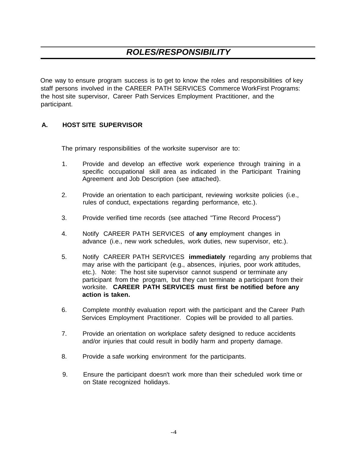One way to ensure program success is to get to know the roles and responsibilities of key staff persons involved in the CAREER PATH SERVICES Commerce WorkFirst Programs: the host site supervisor, Career Path Services Employment Practitioner, and the participant.

#### **A. HOST SITE SUPERVISOR**

The primary responsibilities of the worksite supervisor are to:

- 1. Provide and develop an effective work experience through training in a specific occupational skill area as indicated in the Participant Training Agreement and Job Description (see attached).
- 2. Provide an orientation to each participant, reviewing worksite policies (i.e., rules of conduct, expectations regarding performance, etc.).
- 3. Provide verified time records (see attached "Time Record Process")
- 4. Notify CAREER PATH SERVICES of **any** employment changes in advance (i.e., new work schedules, work duties, new supervisor, etc.).
- 5. Notify CAREER PATH SERVICES **immediately** regarding any problems that may arise with the participant (e.g., absences, injuries, poor work attitudes, etc.). Note: The host site supervisor cannot suspend or terminate any participant from the program, but they can terminate a participant from their worksite. **CAREER PATH SERVICES must first be notified before any action is taken.**
- 6. Complete monthly evaluation report with the participant and the Career Path Services Employment Practitioner. Copies will be provided to all parties.
- 7. Provide an orientation on workplace safety designed to reduce accidents and/or injuries that could result in bodily harm and property damage.
- 8. Provide a safe working environment for the participants.
- 9. Ensure the participant doesn't work more than their scheduled work time or on State recognized holidays.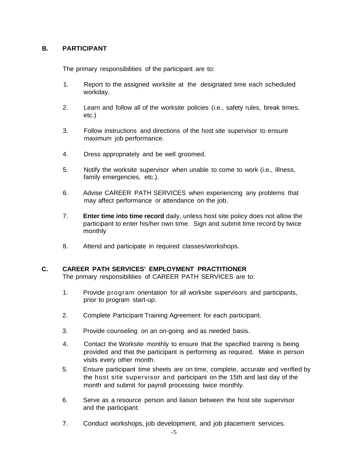#### **B. PARTICIPANT**

The primary responsibilities of the participant are to:

- 1. Report to the assigned worksite at the designated time each scheduled workday.
- 2. Learn and follow all of the worksite policies (i.e., safety rules, break times, etc.)
- 3. Follow instructions and directions of the host site supervisor to ensure maximum job performance.
- 4. Dress appropriately and be well groomed.
- 5. Notify the worksite supervisor when unable to come to work (i.e., illness, family emergencies, etc.).
- 6. Advise CAREER PATH SERVICES when experiencing any problems that may affect performance or attendance on the job.
- 7. **Enter time into time record** daily, unless host site policy does not allow the participant to enter his/her own time. Sign and submit time record by twice monthly
- 8. Attend and participate in required classes/workshops.

#### **C. CAREER PATH SERVICES' EMPLOYMENT PRACTITIONER**

The primary responsibilities of CAREER PATH SERVICES are to:

- 1. Provide program orientation for all worksite supervisors and participants, prior to program start-up.
- 2. Complete Participant Training Agreement for each participant.
- 3. Provide counseling on an on-going and as needed basis.
- 4. Contact the Worksite monthly to ensure that the specified training is being provided and that the participant is performing as required. Make in person visits every other month.
- 5. Ensure participant time sheets are on time, complete, accurate and verified by the host site supervisor and participant on the 15th and last day of the month and submit for payroll processing twice monthly.
- 6. Serve as a resource person and liaison between the host site supervisor and the participant.
- 7. Conduct workshops, job development, and job placement services.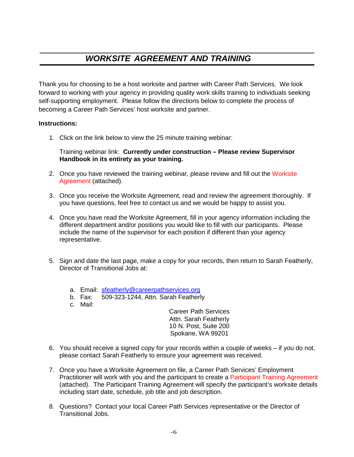# *WORKSITE AGREEMENT AND TRAINING*

Thank you for choosing to be a host worksite and partner with Career Path Services. We look forward to working with your agency in providing quality work skills training to individuals seeking self-supporting employment. Please follow the directions below to complete the process of becoming a Career Path Services' host worksite and partner.

#### **Instructions:**

1. Click on the link below to view the 25 minute training webinar:

Training webinar link: **Currently under construction – Please review Supervisor Handbook in its entirety as your training.**

- 2. Once you have reviewed the training webinar, please review and fill out the Worksite Agreement (attached).
- 3. Once you receive the Worksite Agreement, read and review the agreement thoroughly. If you have questions, feel free to contact us and we would be happy to assist you.
- 4. Once you have read the Worksite Agreement, fill in your agency information including the different department and/or positions you would like to fill with our participants. Please include the name of the supervisor for each position if different than your agency representative.
- 5. Sign and date the last page, make a copy for your records, then return to Sarah Featherly, Director of Transitional Jobs at:
	- a. Email: [sfeatherly@careerpathservices.org](mailto:sfeatherly@careerpathservices.org)
	- b. Fax: 509-323-1244, Attn. Sarah Featherly
	- c. Mail:

Career Path Services Attn. Sarah Featherly 10 N. Post, Suite 200 Spokane, WA 99201

- 6. You should receive a signed copy for your records within a couple of weeks if you do not, please contact Sarah Featherly to ensure your agreement was received.
- 7. Once you have a Worksite Agreement on file, a Career Path Services' Employment Practitioner will work with you and the participant to create a Participant Training Agreement (attached). The Participant Training Agreement will specify the participant's worksite details including start date, schedule, job title and job description.
- 8. Questions? Contact your local Career Path Services representative or the Director of Transitional Jobs.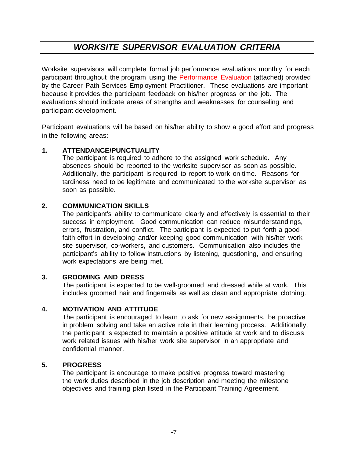# *WORKSITE SUPERVISOR EVALUATION CRITERIA*

Worksite supervisors will complete formal job performance evaluations monthly for each participant throughout the program using the Performance Evaluation (attached) provided by the Career Path Services Employment Practitioner. These evaluations are important because it provides the participant feedback on his/her progress on the job. The evaluations should indicate areas of strengths and weaknesses for counseling and participant development.

Participant evaluations will be based on his/her ability to show a good effort and progress in the following areas:

#### **1. ATTENDANCE/PUNCTUALITY**

The participant is required to adhere to the assigned work schedule. Any absences should be reported to the worksite supervisor as soon as possible. Additionally, the participant is required to report to work on time. Reasons for tardiness need to be legitimate and communicated to the worksite supervisor as soon as possible.

#### **2. COMMUNICATION SKILLS**

The participant's ability to communicate clearly and effectively is essential to their success in employment. Good communication can reduce misunderstandings, errors, frustration, and conflict. The participant is expected to put forth a goodfaith-effort in developing and/or keeping good communication with his/her work site supervisor, co-workers, and customers. Communication also includes the participant's ability to follow instructions by listening, questioning, and ensuring work expectations are being met.

#### **3. GROOMING AND DRESS**

The participant is expected to be well-groomed and dressed while at work. This includes groomed hair and fingernails as well as clean and appropriate clothing.

#### **4. MOTIVATION AND ATTITUDE**

The participant is encouraged to learn to ask for new assignments, be proactive in problem solving and take an active role in their learning process. Additionally, the participant is expected to maintain a positive attitude at work and to discuss work related issues with his/her work site supervisor in an appropriate and confidential manner.

#### **5. PROGRESS**

The participant is encourage to make positive progress toward mastering the work duties described in the job description and meeting the milestone objectives and training plan listed in the Participant Training Agreement.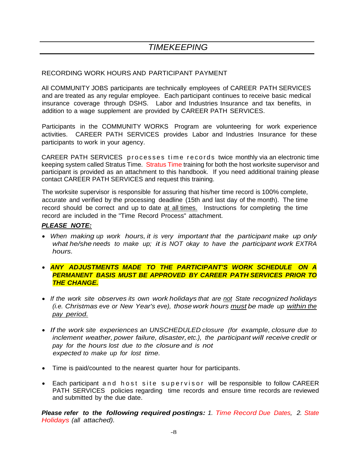## *TIMEKEEPING*

#### RECORDING WORK HOURS AND PARTICIPANT PAYMENT

All COMMUNITY JOBS participants are technically employees of CAREER PATH SERVICES and are treated as any regular employee. Each participant continues to receive basic medical insurance coverage through DSHS. Labor and Industries Insurance and tax benefits, in addition to a wage supplement are provided by CAREER PATH SERVICES.

Participants in the COMMUNITY WORKS Program are volunteering for work experience activities. CAREER PATH SERVICES provides Labor and Industries Insurance for these participants to work in your agency.

CAREER PATH SERVICES processes time records twice monthly via an electronic time keeping system called Stratus Time. Stratus Time training for both the host worksite supervisor and participant is provided as an attachment to this handbook. If you need additional training please contact CAREER PATH SERVICES and request this training.

The worksite supervisor is responsible for assuring that his/her time record is 100% complete, accurate and verified by the processing deadline (15th and last day of the month). The time record should be correct and up to date at all times. Instructions for completing the time record are included in the "Time Record Process" attachment.

#### *PLEASE NOTE:*

- *When making up work hours, it is very important that the participant make up only what he/she needs to make up; it is NOT okay to have the participant work EXTRA hours.*
- *ANY ADJUSTMENTS MADE TO THE PARTICIPANT'S WORK SCHEDULE ON A PERMANENT BASIS MUST BE APPROVED BY CAREER PATH SERVICES PRIOR TO THE CHANGE.*
- *If the work site observes its own work holidays that are not State recognized holidays (i.e. Christmas eve or New Year's eve), those work hours must be made up within the pay period.*
- *If the work site experiences an UNSCHEDULED closure (for example, closure due to inclement weather, power failure, disaster, etc.), the participant will receive credit or pay for the hours lost due to the closure and is not expected to make up for lost time.*
- Time is paid/counted to the nearest quarter hour for participants.
- Each participant and host site supervisor will be responsible to follow CAREER PATH SERVICES policies regarding time records and ensure time records are reviewed and submitted by the due date.

*Please refer to the following required postings: 1. Time Record Due Dates, 2. State Holidays (all attached).*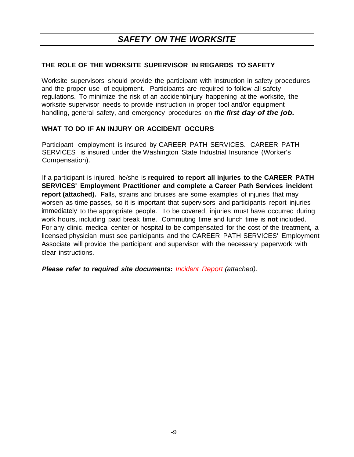#### **THE ROLE OF THE WORKSITE SUPERVISOR IN REGARDS TO SAFETY**

Worksite supervisors should provide the participant with instruction in safety procedures and the proper use of equipment. Participants are required to follow all safety regulations. To minimize the risk of an accident/injury happening at the worksite, the worksite supervisor needs to provide instruction in proper tool and/or equipment handling, general safety, and emergency procedures on *the first day of the job.*

#### **WHAT TO DO IF AN INJURY OR ACCIDENT OCCURS**

Participant employment is insured by CAREER PATH SERVICES. CAREER PATH SERVICES is insured under the Washington State Industrial Insurance (Worker's Compensation).

If a participant is injured, he/she is **required to report all injuries to the CAREER PATH SERVICES' Employment Practitioner and complete a Career Path Services incident report (attached).** Falls, strains and bruises are some examples of injuries that may worsen as time passes, so it is important that supervisors and participants report injuries immediately to the appropriate people. To be covered, injuries must have occurred during work hours, including paid break time. Commuting time and lunch time is **not** included. For any clinic, medical center or hospital to be compensated for the cost of the treatment, a licensed physician must see participants and the CAREER PATH SERVICES' Employment Associate will provide the participant and supervisor with the necessary paperwork with clear instructions.

*Please refer to required site documents: Incident Report (attached).*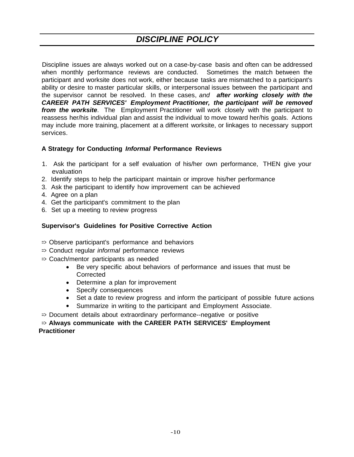Discipline issues are always worked out on a case-by-case basis and often can be addressed when monthly performance reviews are conducted. Sometimes the match between the participant and worksite does not work, either because tasks are mismatched to a participant's ability or desire to master particular skills, or interpersonal issues between the participant and the supervisor cannot be resolved. In these cases, *and after working closely with the CAREER PATH SERVICES' Employment Practitioner, the participant will be removed from the worksite*. The Employment Practitioner will work closely with the participant to reassess her/his individual plan and assist the individual to move toward her/his goals. Actions may include more training, placement at a different worksite, or linkages to necessary support services.

#### **A Strategy for Conducting** *Informal* **Performance Reviews**

- 1. Ask the participant for a self evaluation of his/her own performance, THEN give your evaluation
- 2. Identify steps to help the participant maintain or improve his/her performance
- 3. Ask the participant to identify how improvement can be achieved
- 4. Agree on a plan
- 4. Get the participant's commitment to the plan
- 6. Set up a meeting to review progress

#### **Supervisor's Guidelines for Positive Corrective Action**

- => Observe participant's performance and behaviors
- => Conduct regular *informal* performance reviews
- => Coach/mentor participants as needed
	- Be very specific about behaviors of performance and issues that must be **Corrected**
	- Determine a plan for improvement
	- Specify consequences
	- Set a date to review progress and inform the participant of possible future actions
	- Summarize in writing to the participant and Employment Associate.
- => Document details about extraordinary performance--negative or positive

#### => **Always communicate with the CAREER PATH SERVICES' Employment Practitioner**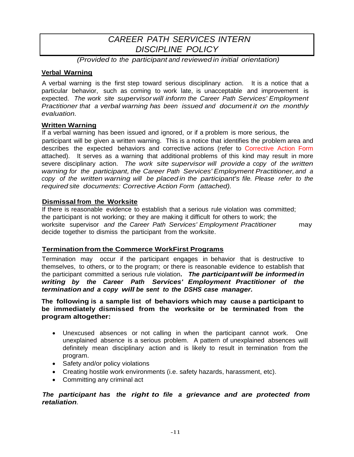# *CAREER PATH SERVICES INTERN DISCIPLINE POLICY*

#### *(Provided to the participant and reviewed in initial orientation)*

#### **Verbal Warning**

A verbal warning is the first step toward serious disciplinary action. It is a notice that a particular behavior, such as coming to work late, is unacceptable and improvement is expected. *The work site supervisor will inform the Career Path Services' Employment Practitioner that a verbal warning has been issued and document it on the monthly evaluation.*

#### **Written Warning**

If a verbal warning has been issued and ignored, or if a problem is more serious, the participant will be given a written warning. This is a notice that identifies the problem area and describes the expected behaviors and corrective actions (refer to Corrective Action Form attached). It serves as a warning that additional problems of this kind may result in more severe disciplinary action. *The work site supervisor will provide a copy of the written warning for the participant, the Career Path Services' Employment Practitioner, and a copy of the written warning will be placed in the participant's file. Please refer to the required site documents: Corrective Action Form (attached).*

#### **Dismissal from the Worksite**

If there is reasonable evidence to establish that a serious rule violation was committed; the participant is not working; or they are making it difficult for others to work; the worksite supervisor *and the Career Path Services' Employment Practitioner* may decide together to dismiss the participant from the worksite.

#### **Termination from the Commerce WorkFirst Programs**

Termination may occur if the participant engages in behavior that is destructive to themselves, to others, or to the program; or there is reasonable evidence to establish that the participant committed a serious rule violation**.** *The participantwill be informed in writing by the Career Path Services' Employment Practitioner of the termination and a copy will be sent to the DSHS case manager.*

**The following is a sample list of behaviors which may cause a participant to be immediately dismissed from the worksite or be terminated from the program altogether:**

- Unexcused absences or not calling in when the participant cannot work. One unexplained absence is a serious problem. A pattern of unexplained absences will definitely mean disciplinary action and is likely to result in termination from the program.
- Safety and/or policy violations
- Creating hostile work environments (i.e. safety hazards, harassment, etc).
- Committing any criminal act

*The participant has the right to file a grievance and are protected from retaliation.*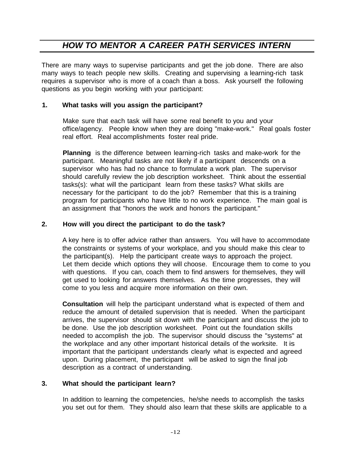# *HOW TO MENTOR A CAREER PATH SERVICES INTERN*

There are many ways to supervise participants and get the job done. There are also many ways to teach people new skills. Creating and supervising a learning-rich task requires a supervisor who is more of a coach than a boss. Ask yourself the following questions as you begin working with your participant:

#### **1. What tasks will you assign the participant?**

Make sure that each task will have some real benefit to you and your office/agency. People know when they are doing "make-work." Real goals foster real effort. Real accomplishments foster real pride.

**Planning** is the difference between learning-rich tasks and make-work for the participant. Meaningful tasks are not likely if a participant descends on a supervisor who has had no chance to formulate a work plan. The supervisor should carefully review the job description worksheet. Think about the essential tasks(s): what will the participant learn from these tasks? What skills are necessary for the participant to do the job? Remember that this is a training program for participants who have little to no work experience. The main goal is an assignment that "honors the work and honors the participant."

#### **2. How will you direct the participant to do the task?**

A key here is to offer advice rather than answers. You will have to accommodate the constraints or systems of your workplace, and you should make this clear to the participant(s). Help the participant create ways to approach the project. Let them decide which options they will choose. Encourage them to come to you with questions. If you can, coach them to find answers for themselves, they will get used to looking for answers themselves. As the time progresses, they will come to you less and acquire more information on their own.

**Consultation** will help the participant understand what is expected of them and reduce the amount of detailed supervision that is needed. When the participant arrives, the supervisor should sit down with the participant and discuss the job to be done. Use the job description worksheet. Point out the foundation skills needed to accomplish the job. The supervisor should discuss the "systems" at the workplace and any other important historical details of the worksite. It is important that the participant understands clearly what is expected and agreed upon. During placement, the participant will be asked to sign the final job description as a contract of understanding.

#### **3. What should the participant learn?**

In addition to learning the competencies, he/she needs to accomplish the tasks you set out for them. They should also learn that these skills are applicable to a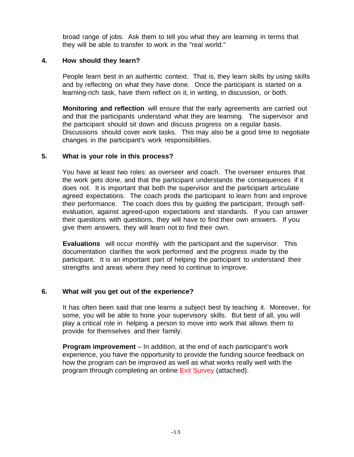broad range of jobs. Ask them to tell you what they are learning in terms that they will be able to transfer to work in the "real world."

#### **4. How should they learn?**

People learn best in an authentic context. That is, they learn skills by using skills and by reflecting on what they have done. Once the participant is started on a learning-rich task, have them reflect on it, in writing, in discussion, or both.

**Monitoring and reflection** will ensure that the early agreements are carried out and that the participants understand what they are learning. The supervisor and the participant should sit down and discuss progress on a regular basis. Discussions should cover work tasks. This may also be a good time to negotiate changes in the participant's work responsibilities.

#### **5. What is your role in this process?**

You have at least two roles: as overseer and coach. The overseer ensures that the work gets done, and that the participant understands the consequences if it does not. It is important that both the supervisor and the participant articulate agreed expectations. The coach prods the participant to learn from and improve their performance. The coach does this by guiding the participant, through selfevaluation, against agreed-upon expectations and standards. If you can answer their questions with questions, they will have to find their own answers. If you give them answers, they will learn not to find their own.

**Evaluations** will occur monthly with the participant and the supervisor. This documentation clarifies the work performed and the progress made by the participant. It is an important part of helping the participant to understand their strengths and areas where they need to continue to improve.

#### **6. What will you get out of the experience?**

It has often been said that one learns a subject best by teaching it. Moreover, for some, you will be able to hone your supervisory skills. But best of all, you will play a critical role in helping a person to move into work that allows them to provide for themselves and their family.

**Program improvement** – In addition, at the end of each participant's work experience, you have the opportunity to provide the funding source feedback on how the program can be improved as well as what works really well with the program through completing an online Exit Survey (attached).